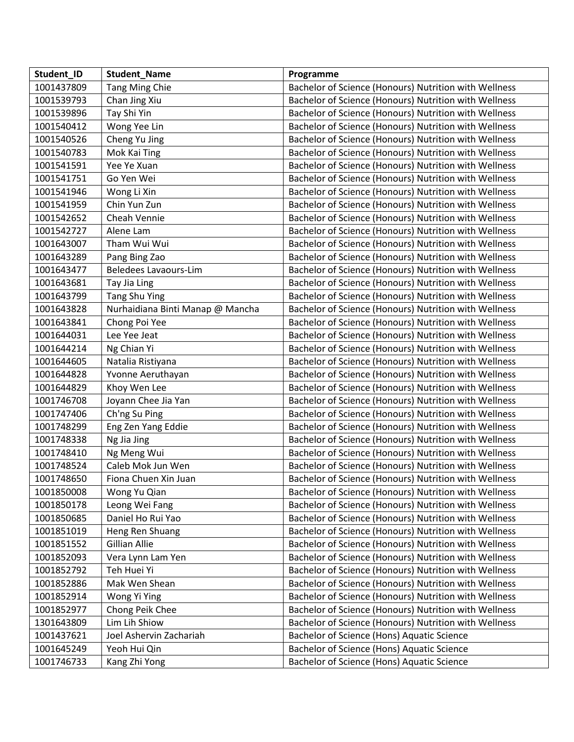| Student_ID | <b>Student_Name</b>              | Programme                                             |
|------------|----------------------------------|-------------------------------------------------------|
| 1001437809 | Tang Ming Chie                   | Bachelor of Science (Honours) Nutrition with Wellness |
| 1001539793 | Chan Jing Xiu                    | Bachelor of Science (Honours) Nutrition with Wellness |
| 1001539896 | Tay Shi Yin                      | Bachelor of Science (Honours) Nutrition with Wellness |
| 1001540412 | Wong Yee Lin                     | Bachelor of Science (Honours) Nutrition with Wellness |
| 1001540526 | Cheng Yu Jing                    | Bachelor of Science (Honours) Nutrition with Wellness |
| 1001540783 | Mok Kai Ting                     | Bachelor of Science (Honours) Nutrition with Wellness |
| 1001541591 | Yee Ye Xuan                      | Bachelor of Science (Honours) Nutrition with Wellness |
| 1001541751 | Go Yen Wei                       | Bachelor of Science (Honours) Nutrition with Wellness |
| 1001541946 | Wong Li Xin                      | Bachelor of Science (Honours) Nutrition with Wellness |
| 1001541959 | Chin Yun Zun                     | Bachelor of Science (Honours) Nutrition with Wellness |
| 1001542652 | Cheah Vennie                     | Bachelor of Science (Honours) Nutrition with Wellness |
| 1001542727 | Alene Lam                        | Bachelor of Science (Honours) Nutrition with Wellness |
| 1001643007 | Tham Wui Wui                     | Bachelor of Science (Honours) Nutrition with Wellness |
| 1001643289 | Pang Bing Zao                    | Bachelor of Science (Honours) Nutrition with Wellness |
| 1001643477 | <b>Beledees Lavaours-Lim</b>     | Bachelor of Science (Honours) Nutrition with Wellness |
| 1001643681 | Tay Jia Ling                     | Bachelor of Science (Honours) Nutrition with Wellness |
| 1001643799 | Tang Shu Ying                    | Bachelor of Science (Honours) Nutrition with Wellness |
| 1001643828 | Nurhaidiana Binti Manap @ Mancha | Bachelor of Science (Honours) Nutrition with Wellness |
| 1001643841 | Chong Poi Yee                    | Bachelor of Science (Honours) Nutrition with Wellness |
| 1001644031 | Lee Yee Jeat                     | Bachelor of Science (Honours) Nutrition with Wellness |
| 1001644214 | Ng Chian Yi                      | Bachelor of Science (Honours) Nutrition with Wellness |
| 1001644605 | Natalia Ristiyana                | Bachelor of Science (Honours) Nutrition with Wellness |
| 1001644828 | Yvonne Aeruthayan                | Bachelor of Science (Honours) Nutrition with Wellness |
| 1001644829 | Khoy Wen Lee                     | Bachelor of Science (Honours) Nutrition with Wellness |
| 1001746708 | Joyann Chee Jia Yan              | Bachelor of Science (Honours) Nutrition with Wellness |
| 1001747406 | Ch'ng Su Ping                    | Bachelor of Science (Honours) Nutrition with Wellness |
| 1001748299 | Eng Zen Yang Eddie               | Bachelor of Science (Honours) Nutrition with Wellness |
| 1001748338 | Ng Jia Jing                      | Bachelor of Science (Honours) Nutrition with Wellness |
| 1001748410 | Ng Meng Wui                      | Bachelor of Science (Honours) Nutrition with Wellness |
| 1001748524 | Caleb Mok Jun Wen                | Bachelor of Science (Honours) Nutrition with Wellness |
| 1001748650 | Fiona Chuen Xin Juan             | Bachelor of Science (Honours) Nutrition with Wellness |
| 1001850008 | Wong Yu Qian                     | Bachelor of Science (Honours) Nutrition with Wellness |
| 1001850178 | Leong Wei Fang                   | Bachelor of Science (Honours) Nutrition with Wellness |
| 1001850685 | Daniel Ho Rui Yao                | Bachelor of Science (Honours) Nutrition with Wellness |
| 1001851019 | Heng Ren Shuang                  | Bachelor of Science (Honours) Nutrition with Wellness |
| 1001851552 | Gillian Allie                    | Bachelor of Science (Honours) Nutrition with Wellness |
| 1001852093 | Vera Lynn Lam Yen                | Bachelor of Science (Honours) Nutrition with Wellness |
| 1001852792 | Teh Huei Yi                      | Bachelor of Science (Honours) Nutrition with Wellness |
| 1001852886 | Mak Wen Shean                    | Bachelor of Science (Honours) Nutrition with Wellness |
| 1001852914 | Wong Yi Ying                     | Bachelor of Science (Honours) Nutrition with Wellness |
| 1001852977 | Chong Peik Chee                  | Bachelor of Science (Honours) Nutrition with Wellness |
| 1301643809 | Lim Lih Shiow                    | Bachelor of Science (Honours) Nutrition with Wellness |
| 1001437621 | Joel Ashervin Zachariah          | Bachelor of Science (Hons) Aquatic Science            |
| 1001645249 | Yeoh Hui Qin                     | Bachelor of Science (Hons) Aquatic Science            |
| 1001746733 | Kang Zhi Yong                    | Bachelor of Science (Hons) Aquatic Science            |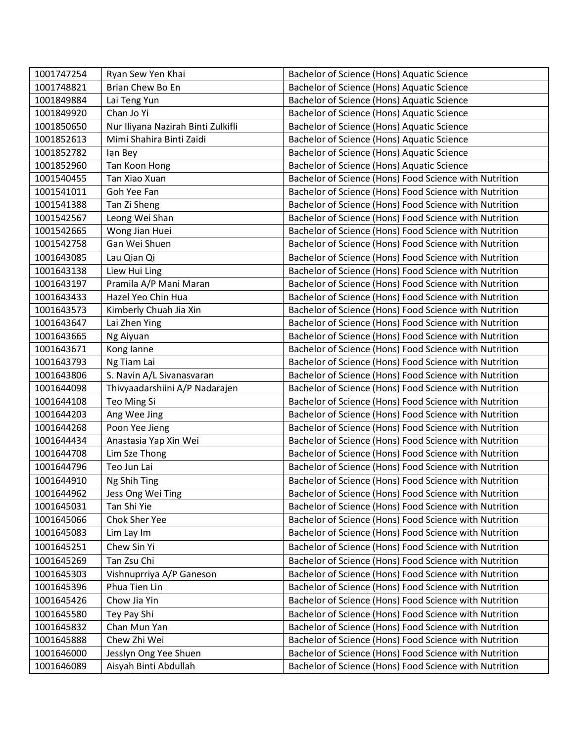| 1001747254 | Ryan Sew Yen Khai                  | Bachelor of Science (Hons) Aquatic Science             |
|------------|------------------------------------|--------------------------------------------------------|
| 1001748821 | Brian Chew Bo En                   | Bachelor of Science (Hons) Aquatic Science             |
| 1001849884 | Lai Teng Yun                       | Bachelor of Science (Hons) Aquatic Science             |
| 1001849920 | Chan Jo Yi                         | Bachelor of Science (Hons) Aquatic Science             |
| 1001850650 | Nur Iliyana Nazirah Binti Zulkifli | Bachelor of Science (Hons) Aquatic Science             |
| 1001852613 | Mimi Shahira Binti Zaidi           | Bachelor of Science (Hons) Aquatic Science             |
| 1001852782 | lan Bey                            | Bachelor of Science (Hons) Aquatic Science             |
| 1001852960 | Tan Koon Hong                      | Bachelor of Science (Hons) Aquatic Science             |
| 1001540455 | Tan Xiao Xuan                      | Bachelor of Science (Hons) Food Science with Nutrition |
| 1001541011 | Goh Yee Fan                        | Bachelor of Science (Hons) Food Science with Nutrition |
| 1001541388 | Tan Zi Sheng                       | Bachelor of Science (Hons) Food Science with Nutrition |
| 1001542567 | Leong Wei Shan                     | Bachelor of Science (Hons) Food Science with Nutrition |
| 1001542665 | Wong Jian Huei                     | Bachelor of Science (Hons) Food Science with Nutrition |
| 1001542758 | Gan Wei Shuen                      | Bachelor of Science (Hons) Food Science with Nutrition |
| 1001643085 | Lau Qian Qi                        | Bachelor of Science (Hons) Food Science with Nutrition |
| 1001643138 | Liew Hui Ling                      | Bachelor of Science (Hons) Food Science with Nutrition |
| 1001643197 | Pramila A/P Mani Maran             | Bachelor of Science (Hons) Food Science with Nutrition |
| 1001643433 | Hazel Yeo Chin Hua                 | Bachelor of Science (Hons) Food Science with Nutrition |
| 1001643573 | Kimberly Chuah Jia Xin             | Bachelor of Science (Hons) Food Science with Nutrition |
| 1001643647 | Lai Zhen Ying                      | Bachelor of Science (Hons) Food Science with Nutrition |
| 1001643665 | Ng Aiyuan                          | Bachelor of Science (Hons) Food Science with Nutrition |
| 1001643671 | Kong lanne                         | Bachelor of Science (Hons) Food Science with Nutrition |
| 1001643793 | Ng Tiam Lai                        | Bachelor of Science (Hons) Food Science with Nutrition |
| 1001643806 | S. Navin A/L Sivanasvaran          | Bachelor of Science (Hons) Food Science with Nutrition |
| 1001644098 | Thivyaadarshiini A/P Nadarajen     | Bachelor of Science (Hons) Food Science with Nutrition |
| 1001644108 | Teo Ming Si                        | Bachelor of Science (Hons) Food Science with Nutrition |
| 1001644203 | Ang Wee Jing                       | Bachelor of Science (Hons) Food Science with Nutrition |
| 1001644268 | Poon Yee Jieng                     | Bachelor of Science (Hons) Food Science with Nutrition |
| 1001644434 | Anastasia Yap Xin Wei              | Bachelor of Science (Hons) Food Science with Nutrition |
| 1001644708 | Lim Sze Thong                      | Bachelor of Science (Hons) Food Science with Nutrition |
| 1001644796 | Teo Jun Lai                        | Bachelor of Science (Hons) Food Science with Nutrition |
| 1001644910 | Ng Shih Ting                       | Bachelor of Science (Hons) Food Science with Nutrition |
| 1001644962 | Jess Ong Wei Ting                  | Bachelor of Science (Hons) Food Science with Nutrition |
| 1001645031 | Tan Shi Yie                        | Bachelor of Science (Hons) Food Science with Nutrition |
| 1001645066 | Chok Sher Yee                      | Bachelor of Science (Hons) Food Science with Nutrition |
| 1001645083 | Lim Lay Im                         | Bachelor of Science (Hons) Food Science with Nutrition |
| 1001645251 | Chew Sin Yi                        | Bachelor of Science (Hons) Food Science with Nutrition |
| 1001645269 | Tan Zsu Chi                        | Bachelor of Science (Hons) Food Science with Nutrition |
| 1001645303 | Vishnuprriya A/P Ganeson           | Bachelor of Science (Hons) Food Science with Nutrition |
| 1001645396 | Phua Tien Lin                      | Bachelor of Science (Hons) Food Science with Nutrition |
| 1001645426 | Chow Jia Yin                       | Bachelor of Science (Hons) Food Science with Nutrition |
| 1001645580 | Tey Pay Shi                        | Bachelor of Science (Hons) Food Science with Nutrition |
| 1001645832 | Chan Mun Yan                       | Bachelor of Science (Hons) Food Science with Nutrition |
| 1001645888 | Chew Zhi Wei                       | Bachelor of Science (Hons) Food Science with Nutrition |
| 1001646000 | Jesslyn Ong Yee Shuen              | Bachelor of Science (Hons) Food Science with Nutrition |
| 1001646089 | Aisyah Binti Abdullah              | Bachelor of Science (Hons) Food Science with Nutrition |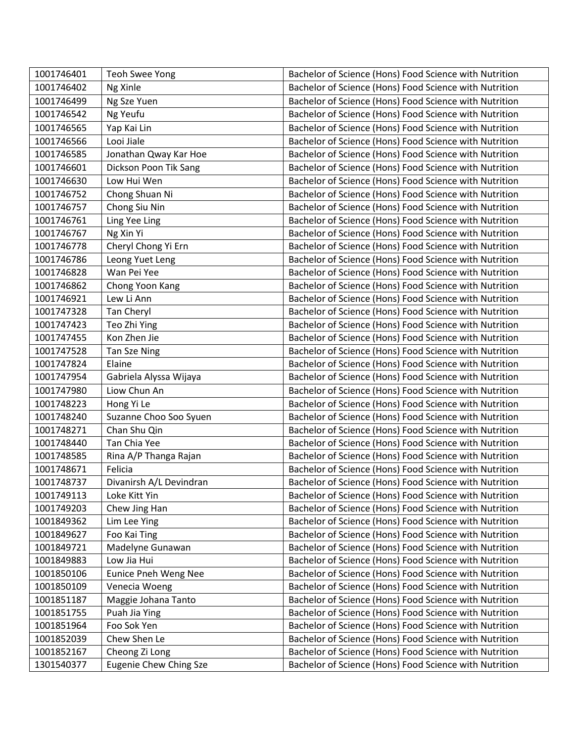| 1001746401 | <b>Teoh Swee Yong</b>   | Bachelor of Science (Hons) Food Science with Nutrition |
|------------|-------------------------|--------------------------------------------------------|
| 1001746402 | Ng Xinle                | Bachelor of Science (Hons) Food Science with Nutrition |
| 1001746499 | Ng Sze Yuen             | Bachelor of Science (Hons) Food Science with Nutrition |
| 1001746542 | Ng Yeufu                | Bachelor of Science (Hons) Food Science with Nutrition |
| 1001746565 | Yap Kai Lin             | Bachelor of Science (Hons) Food Science with Nutrition |
| 1001746566 | Looi Jiale              | Bachelor of Science (Hons) Food Science with Nutrition |
| 1001746585 | Jonathan Qway Kar Hoe   | Bachelor of Science (Hons) Food Science with Nutrition |
| 1001746601 | Dickson Poon Tik Sang   | Bachelor of Science (Hons) Food Science with Nutrition |
| 1001746630 | Low Hui Wen             | Bachelor of Science (Hons) Food Science with Nutrition |
| 1001746752 | Chong Shuan Ni          | Bachelor of Science (Hons) Food Science with Nutrition |
| 1001746757 | Chong Siu Nin           | Bachelor of Science (Hons) Food Science with Nutrition |
| 1001746761 | Ling Yee Ling           | Bachelor of Science (Hons) Food Science with Nutrition |
| 1001746767 | Ng Xin Yi               | Bachelor of Science (Hons) Food Science with Nutrition |
| 1001746778 | Cheryl Chong Yi Ern     | Bachelor of Science (Hons) Food Science with Nutrition |
| 1001746786 | Leong Yuet Leng         | Bachelor of Science (Hons) Food Science with Nutrition |
| 1001746828 | Wan Pei Yee             | Bachelor of Science (Hons) Food Science with Nutrition |
| 1001746862 | Chong Yoon Kang         | Bachelor of Science (Hons) Food Science with Nutrition |
| 1001746921 | Lew Li Ann              | Bachelor of Science (Hons) Food Science with Nutrition |
| 1001747328 | Tan Cheryl              | Bachelor of Science (Hons) Food Science with Nutrition |
| 1001747423 | Teo Zhi Ying            | Bachelor of Science (Hons) Food Science with Nutrition |
| 1001747455 | Kon Zhen Jie            | Bachelor of Science (Hons) Food Science with Nutrition |
| 1001747528 | Tan Sze Ning            | Bachelor of Science (Hons) Food Science with Nutrition |
| 1001747824 | Elaine                  | Bachelor of Science (Hons) Food Science with Nutrition |
| 1001747954 | Gabriela Alyssa Wijaya  | Bachelor of Science (Hons) Food Science with Nutrition |
| 1001747980 | Liow Chun An            | Bachelor of Science (Hons) Food Science with Nutrition |
| 1001748223 | Hong Yi Le              | Bachelor of Science (Hons) Food Science with Nutrition |
| 1001748240 | Suzanne Choo Soo Syuen  | Bachelor of Science (Hons) Food Science with Nutrition |
| 1001748271 | Chan Shu Qin            | Bachelor of Science (Hons) Food Science with Nutrition |
| 1001748440 | Tan Chia Yee            | Bachelor of Science (Hons) Food Science with Nutrition |
| 1001748585 | Rina A/P Thanga Rajan   | Bachelor of Science (Hons) Food Science with Nutrition |
| 1001748671 | Felicia                 | Bachelor of Science (Hons) Food Science with Nutrition |
| 1001748737 | Divanirsh A/L Devindran | Bachelor of Science (Hons) Food Science with Nutrition |
| 1001749113 | Loke Kitt Yin           | Bachelor of Science (Hons) Food Science with Nutrition |
| 1001749203 | Chew Jing Han           | Bachelor of Science (Hons) Food Science with Nutrition |
| 1001849362 | Lim Lee Ying            | Bachelor of Science (Hons) Food Science with Nutrition |
| 1001849627 | Foo Kai Ting            | Bachelor of Science (Hons) Food Science with Nutrition |
| 1001849721 | Madelyne Gunawan        | Bachelor of Science (Hons) Food Science with Nutrition |
| 1001849883 | Low Jia Hui             | Bachelor of Science (Hons) Food Science with Nutrition |
| 1001850106 | Eunice Pneh Weng Nee    | Bachelor of Science (Hons) Food Science with Nutrition |
| 1001850109 | Venecia Woeng           | Bachelor of Science (Hons) Food Science with Nutrition |
| 1001851187 | Maggie Johana Tanto     | Bachelor of Science (Hons) Food Science with Nutrition |
| 1001851755 | Puah Jia Ying           | Bachelor of Science (Hons) Food Science with Nutrition |
| 1001851964 | Foo Sok Yen             | Bachelor of Science (Hons) Food Science with Nutrition |
| 1001852039 | Chew Shen Le            | Bachelor of Science (Hons) Food Science with Nutrition |
| 1001852167 | Cheong Zi Long          | Bachelor of Science (Hons) Food Science with Nutrition |
| 1301540377 | Eugenie Chew Ching Sze  | Bachelor of Science (Hons) Food Science with Nutrition |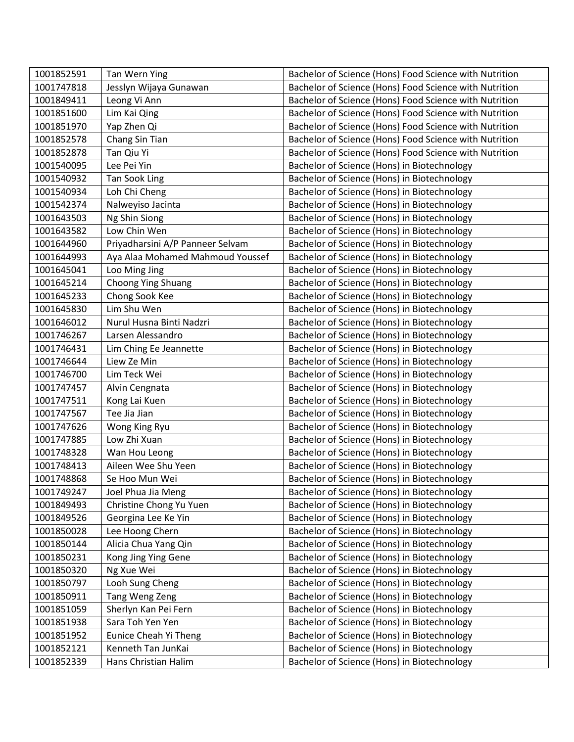| 1001852591 | Tan Wern Ying                    | Bachelor of Science (Hons) Food Science with Nutrition |
|------------|----------------------------------|--------------------------------------------------------|
| 1001747818 | Jesslyn Wijaya Gunawan           | Bachelor of Science (Hons) Food Science with Nutrition |
| 1001849411 | Leong Vi Ann                     | Bachelor of Science (Hons) Food Science with Nutrition |
| 1001851600 | Lim Kai Qing                     | Bachelor of Science (Hons) Food Science with Nutrition |
| 1001851970 | Yap Zhen Qi                      | Bachelor of Science (Hons) Food Science with Nutrition |
| 1001852578 | Chang Sin Tian                   | Bachelor of Science (Hons) Food Science with Nutrition |
| 1001852878 | Tan Qiu Yi                       | Bachelor of Science (Hons) Food Science with Nutrition |
| 1001540095 | Lee Pei Yin                      | Bachelor of Science (Hons) in Biotechnology            |
| 1001540932 | <b>Tan Sook Ling</b>             | Bachelor of Science (Hons) in Biotechnology            |
| 1001540934 | Loh Chi Cheng                    | Bachelor of Science (Hons) in Biotechnology            |
| 1001542374 | Nalweyiso Jacinta                | Bachelor of Science (Hons) in Biotechnology            |
| 1001643503 | Ng Shin Siong                    | Bachelor of Science (Hons) in Biotechnology            |
| 1001643582 | Low Chin Wen                     | Bachelor of Science (Hons) in Biotechnology            |
| 1001644960 | Priyadharsini A/P Panneer Selvam | Bachelor of Science (Hons) in Biotechnology            |
| 1001644993 | Aya Alaa Mohamed Mahmoud Youssef | Bachelor of Science (Hons) in Biotechnology            |
| 1001645041 | Loo Ming Jing                    | Bachelor of Science (Hons) in Biotechnology            |
| 1001645214 | Choong Ying Shuang               | Bachelor of Science (Hons) in Biotechnology            |
| 1001645233 | Chong Sook Kee                   | Bachelor of Science (Hons) in Biotechnology            |
| 1001645830 | Lim Shu Wen                      | Bachelor of Science (Hons) in Biotechnology            |
| 1001646012 | Nurul Husna Binti Nadzri         | Bachelor of Science (Hons) in Biotechnology            |
| 1001746267 | Larsen Alessandro                | Bachelor of Science (Hons) in Biotechnology            |
| 1001746431 | Lim Ching Ee Jeannette           | Bachelor of Science (Hons) in Biotechnology            |
| 1001746644 | Liew Ze Min                      | Bachelor of Science (Hons) in Biotechnology            |
| 1001746700 | Lim Teck Wei                     | Bachelor of Science (Hons) in Biotechnology            |
| 1001747457 | Alvin Cengnata                   | Bachelor of Science (Hons) in Biotechnology            |
| 1001747511 | Kong Lai Kuen                    | Bachelor of Science (Hons) in Biotechnology            |
| 1001747567 | Tee Jia Jian                     | Bachelor of Science (Hons) in Biotechnology            |
| 1001747626 | Wong King Ryu                    | Bachelor of Science (Hons) in Biotechnology            |
| 1001747885 | Low Zhi Xuan                     | Bachelor of Science (Hons) in Biotechnology            |
| 1001748328 | Wan Hou Leong                    | Bachelor of Science (Hons) in Biotechnology            |
| 1001748413 | Aileen Wee Shu Yeen              | Bachelor of Science (Hons) in Biotechnology            |
| 1001748868 | Se Hoo Mun Wei                   | Bachelor of Science (Hons) in Biotechnology            |
| 1001749247 | Joel Phua Jia Meng               | Bachelor of Science (Hons) in Biotechnology            |
| 1001849493 | Christine Chong Yu Yuen          | Bachelor of Science (Hons) in Biotechnology            |
| 1001849526 | Georgina Lee Ke Yin              | Bachelor of Science (Hons) in Biotechnology            |
| 1001850028 | Lee Hoong Chern                  | Bachelor of Science (Hons) in Biotechnology            |
| 1001850144 | Alicia Chua Yang Qin             | Bachelor of Science (Hons) in Biotechnology            |
| 1001850231 | Kong Jing Ying Gene              | Bachelor of Science (Hons) in Biotechnology            |
| 1001850320 | Ng Xue Wei                       | Bachelor of Science (Hons) in Biotechnology            |
| 1001850797 | Looh Sung Cheng                  | Bachelor of Science (Hons) in Biotechnology            |
| 1001850911 | Tang Weng Zeng                   | Bachelor of Science (Hons) in Biotechnology            |
| 1001851059 | Sherlyn Kan Pei Fern             | Bachelor of Science (Hons) in Biotechnology            |
| 1001851938 | Sara Toh Yen Yen                 | Bachelor of Science (Hons) in Biotechnology            |
| 1001851952 | Eunice Cheah Yi Theng            | Bachelor of Science (Hons) in Biotechnology            |
| 1001852121 | Kenneth Tan JunKai               | Bachelor of Science (Hons) in Biotechnology            |
| 1001852339 | Hans Christian Halim             | Bachelor of Science (Hons) in Biotechnology            |